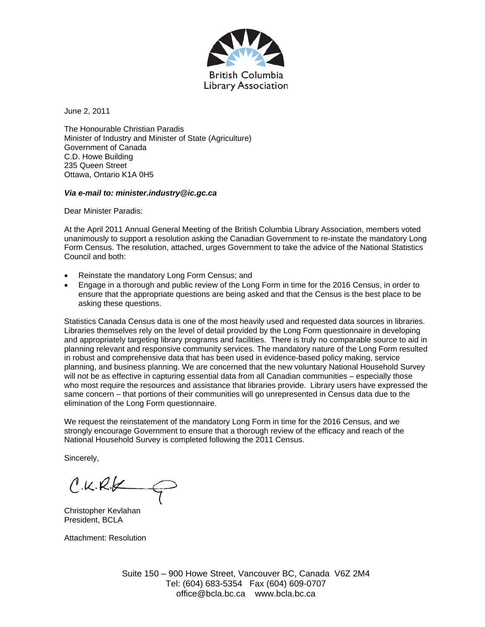

June 2, 2011

The Honourable Christian Paradis Minister of Industry and Minister of State (Agriculture) Government of Canada C.D. Howe Building 235 Queen Street Ottawa, Ontario K1A 0H5

## *Via e-mail to: minister.industry@ic.gc.ca*

Dear Minister Paradis:

At the April 2011 Annual General Meeting of the British Columbia Library Association, members voted unanimously to support a resolution asking the Canadian Government to re-instate the mandatory Long Form Census. The resolution, attached, urges Government to take the advice of the National Statistics Council and both:

- Reinstate the mandatory Long Form Census; and
- Engage in a thorough and public review of the Long Form in time for the 2016 Census, in order to ensure that the appropriate questions are being asked and that the Census is the best place to be asking these questions.

Statistics Canada Census data is one of the most heavily used and requested data sources in libraries. Libraries themselves rely on the level of detail provided by the Long Form questionnaire in developing and appropriately targeting library programs and facilities. There is truly no comparable source to aid in planning relevant and responsive community services. The mandatory nature of the Long Form resulted in robust and comprehensive data that has been used in evidence-based policy making, service planning, and business planning. We are concerned that the new voluntary National Household Survey will not be as effective in capturing essential data from all Canadian communities – especially those who most require the resources and assistance that libraries provide. Library users have expressed the same concern – that portions of their communities will go unrepresented in Census data due to the elimination of the Long Form questionnaire.

We request the reinstatement of the mandatory Long Form in time for the 2016 Census, and we strongly encourage Government to ensure that a thorough review of the efficacy and reach of the National Household Survey is completed following the 2011 Census.

Sincerely,

 $C. K. R. k$ 

Christopher Kevlahan President, BCLA

Attachment: Resolution

Suite 150 – 900 Howe Street, Vancouver BC, Canada V6Z 2M4 Tel: (604) 683-5354 Fax (604) 609-0707 office@bcla.bc.ca www.bcla.bc.ca